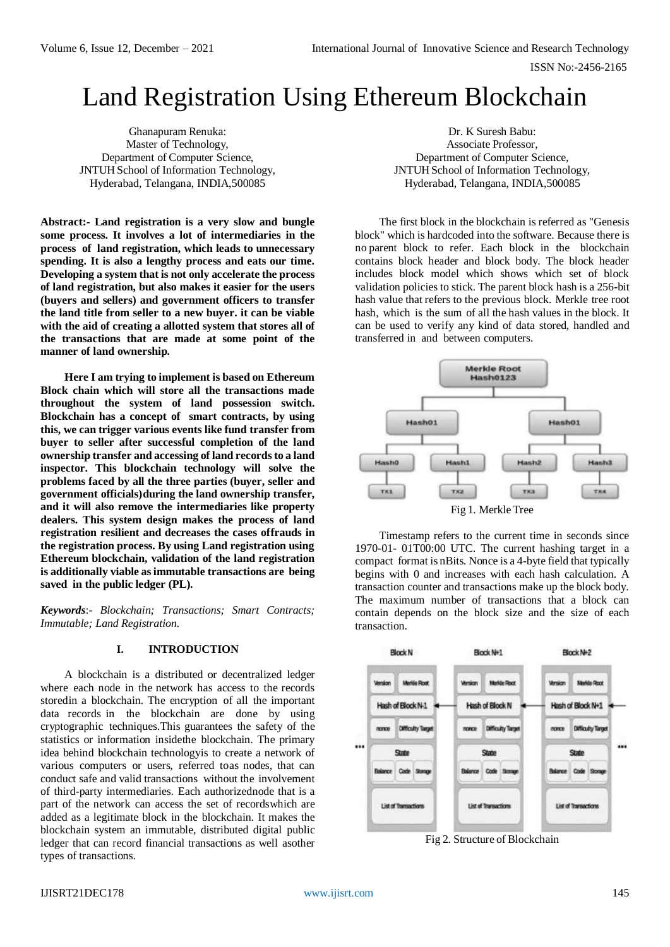# Land Registration Using Ethereum Blockchain

Ghanapuram Renuka: Master of Technology, Department of Computer Science, JNTUH School of Information Technology, Hyderabad, Telangana, INDIA,500085

**Abstract:- Land registration is a very slow and bungle some process. It involves a lot of intermediaries in the process of land registration, which leads to unnecessary spending. It is also a lengthy process and eats our time. Developing a system that is not only accelerate the process of land registration, but also makes it easier for the users (buyers and sellers) and government officers to transfer the land title from seller to a new buyer. it can be viable with the aid of creating a allotted system that stores all of the transactions that are made at some point of the manner of land ownership.**

**Here I am trying to implement is based on Ethereum Block chain which will store all the transactions made throughout the system of land possession switch. Blockchain has a concept of smart contracts, by using this, we can trigger various events like fund transfer from buyer to seller after successful completion of the land ownership transfer and accessing of land recordsto a land inspector. This blockchain technology will solve the problems faced by all the three parties (buyer, seller and government officials)during the land ownership transfer, and it will also remove the intermediaries like property dealers. This system design makes the process of land registration resilient and decreases the cases offrauds in the registration process. By using Land registration using Ethereum blockchain, validation of the land registration is additionally viable as immutable transactions are being saved in the public ledger (PL).**

*Keywords*:- *Blockchain; Transactions; Smart Contracts; Immutable; Land Registration.*

## **I. INTRODUCTION**

A blockchain is a distributed or decentralized ledger where each node in the network has access to the records storedin a blockchain. The encryption of all the important data records in the blockchain are done by using cryptographic techniques.This guarantees the safety of the statistics or information insidethe blockchain. The primary idea behind blockchain technologyis to create a network of various computers or users, referred toas nodes, that can conduct safe and valid transactions without the involvement of third-party intermediaries. Each authorizednode that is a part of the network can access the set of recordswhich are added as a legitimate block in the blockchain. It makes the blockchain system an immutable, distributed digital public ledger that can record financial transactions as well asother types of transactions.

Dr. K Suresh Babu: Associate Professor, Department of Computer Science, JNTUH School of Information Technology, Hyderabad, Telangana, INDIA,500085

The first block in the blockchain is referred as "Genesis block" which is hardcoded into the software. Because there is no parent block to refer. Each block in the blockchain contains block header and block body. The block header includes block model which shows which set of block validation policies to stick. The parent block hash is a 256-bit hash value that refers to the previous block. Merkle tree root hash, which is the sum of all the hash values in the block. It can be used to verify any kind of data stored, handled and transferred in and between computers.



Timestamp refers to the current time in seconds since 1970-01- 01T00:00 UTC. The current hashing target in a compact format is nBits. Nonce is a 4-byte field that typically begins with 0 and increases with each hash calculation. A transaction counter and transactions make up the block body. The maximum number of transactions that a block can contain depends on the block size and the size of each transaction.



Fig 2. Structure of Blockchain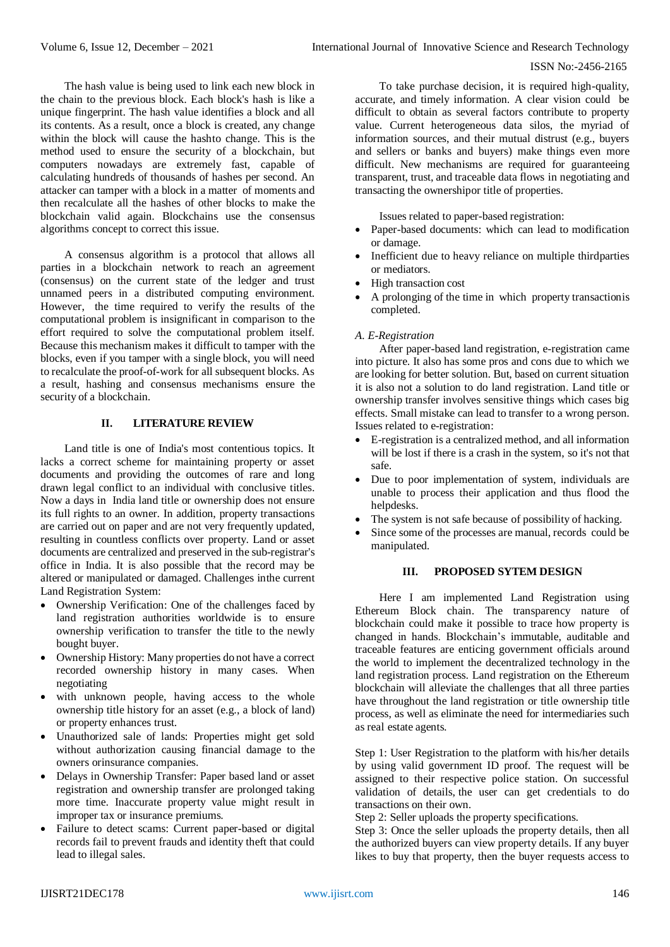### ISSN No:-2456-2165

The hash value is being used to link each new block in the chain to the previous block. Each block's hash is like a unique fingerprint. The hash value identifies a block and all its contents. As a result, once a block is created, any change within the block will cause the hashto change. This is the method used to ensure the security of a blockchain, but computers nowadays are extremely fast, capable of calculating hundreds of thousands of hashes per second. An attacker can tamper with a block in a matter of moments and then recalculate all the hashes of other blocks to make the blockchain valid again. Blockchains use the consensus algorithms concept to correct this issue.

A consensus algorithm is a protocol that allows all parties in a blockchain network to reach an agreement (consensus) on the current state of the ledger and trust unnamed peers in a distributed computing environment. However, the time required to verify the results of the computational problem is insignificant in comparison to the effort required to solve the computational problem itself. Because this mechanism makes it difficult to tamper with the blocks, even if you tamper with a single block, you will need to recalculate the proof-of-work for all subsequent blocks. As a result, hashing and consensus mechanisms ensure the security of a blockchain.

# **II. LITERATURE REVIEW**

Land title is one of India's most contentious topics. It lacks a correct scheme for maintaining property or asset documents and providing the outcomes of rare and long drawn legal conflict to an individual with conclusive titles. Now a days in India land title or ownership does not ensure its full rights to an owner. In addition, property transactions are carried out on paper and are not very frequently updated, resulting in countless conflicts over property. Land or asset documents are centralized and preserved in the sub-registrar's office in India. It is also possible that the record may be altered or manipulated or damaged. Challenges inthe current Land Registration System:

- Ownership Verification: One of the challenges faced by land registration authorities worldwide is to ensure ownership verification to transfer the title to the newly bought buyer.
- Ownership History: Many properties do not have a correct recorded ownership history in many cases. When negotiating
- with unknown people, having access to the whole ownership title history for an asset (e.g., a block of land) or property enhances trust.
- Unauthorized sale of lands: Properties might get sold without authorization causing financial damage to the owners orinsurance companies.
- Delays in Ownership Transfer: Paper based land or asset registration and ownership transfer are prolonged taking more time. Inaccurate property value might result in improper tax or insurance premiums.
- Failure to detect scams: Current paper-based or digital records fail to prevent frauds and identity theft that could lead to illegal sales.

To take purchase decision, it is required high-quality, accurate, and timely information. A clear vision could be difficult to obtain as several factors contribute to property value. Current heterogeneous data silos, the myriad of information sources, and their mutual distrust (e.g., buyers and sellers or banks and buyers) make things even more difficult. New mechanisms are required for guaranteeing transparent, trust, and traceable data flows in negotiating and transacting the ownershipor title of properties.

Issues related to paper-based registration:

- Paper-based documents: which can lead to modification or damage.
- Inefficient due to heavy reliance on multiple thirdparties or mediators.
- High transaction cost
- A prolonging of the time in which property transactionis completed.

# *A. E-Registration*

After paper-based land registration, e-registration came into picture. It also has some pros and cons due to which we are looking for better solution. But, based on current situation it is also not a solution to do land registration. Land title or ownership transfer involves sensitive things which cases big effects. Small mistake can lead to transfer to a wrong person. Issues related to e-registration:

- E-registration is a centralized method, and all information will be lost if there is a crash in the system, so it's not that safe.
- Due to poor implementation of system, individuals are unable to process their application and thus flood the helpdesks.
- The system is not safe because of possibility of hacking.
- Since some of the processes are manual, records could be manipulated.

# **III. PROPOSED SYTEM DESIGN**

Here I am implemented Land Registration using Ethereum Block chain. The transparency nature of blockchain could make it possible to trace how property is changed in hands. Blockchain's immutable, auditable and traceable features are enticing government officials around the world to implement the decentralized technology in the land registration process. Land registration on the Ethereum blockchain will alleviate the challenges that all three parties have throughout the land registration or title ownership title process, as well as eliminate the need for intermediaries such as real estate agents.

Step 1: User Registration to the platform with his/her details by using valid government ID proof. The request will be assigned to their respective police station. On successful validation of details, the user can get credentials to do transactions on their own.

Step 2: Seller uploads the property specifications.

Step 3: Once the seller uploads the property details, then all the authorized buyers can view property details. If any buyer likes to buy that property, then the buyer requests access to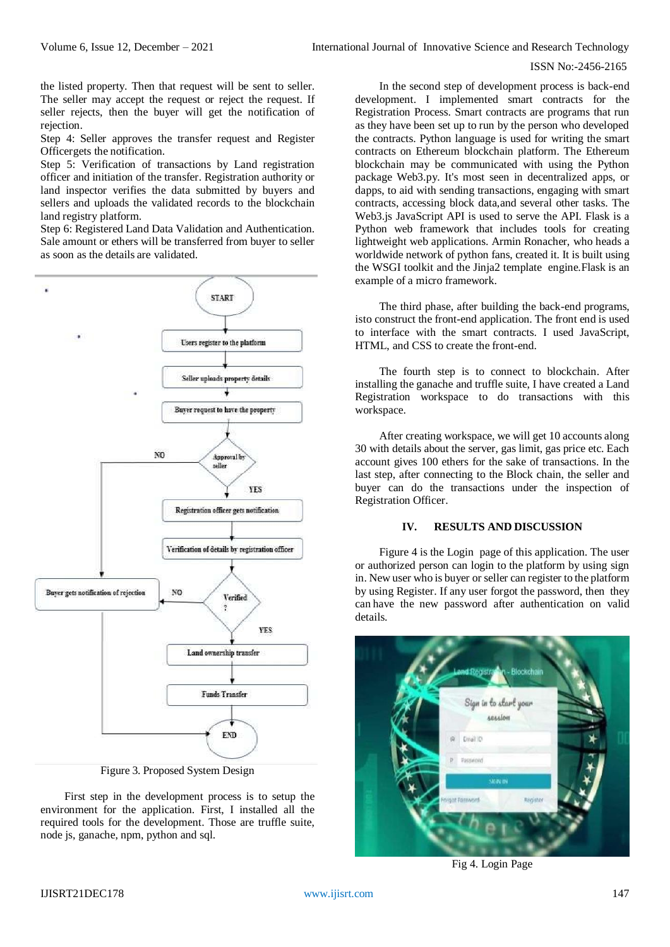#### ISSN No:-2456-2165

the listed property. Then that request will be sent to seller. The seller may accept the request or reject the request. If seller rejects, then the buyer will get the notification of rejection.

Step 4: Seller approves the transfer request and Register Officergets the notification.

Step 5: Verification of transactions by Land registration officer and initiation of the transfer. Registration authority or land inspector verifies the data submitted by buyers and sellers and uploads the validated records to the blockchain land registry platform.

Step 6: Registered Land Data Validation and Authentication. Sale amount or ethers will be transferred from buyer to seller as soon as the details are validated.



Figure 3. Proposed System Design

First step in the development process is to setup the environment for the application. First, I installed all the required tools for the development. Those are truffle suite, node js, ganache, npm, python and sql.

In the second step of development process is back-end development. I implemented smart contracts for the Registration Process. Smart contracts are programs that run as they have been set up to run by the person who developed the contracts. Python language is used for writing the smart contracts on Ethereum blockchain platform. The Ethereum blockchain may be communicated with using the Python package Web3.py. It's most seen in decentralized apps, or dapps, to aid with sending transactions, engaging with smart contracts, accessing block data,and several other tasks. The Web3.js JavaScript API is used to serve the API. Flask is a Python web framework that includes tools for creating lightweight web applications. Armin Ronacher, who heads a worldwide network of python fans, created it. It is built using the WSGI toolkit and the Jinja2 template engine.Flask is an example of a micro framework.

The third phase, after building the back-end programs, isto construct the front-end application. The front end is used to interface with the smart contracts. I used JavaScript, HTML, and CSS to create the front-end.

The fourth step is to connect to blockchain. After installing the ganache and truffle suite, I have created a Land Registration workspace to do transactions with this workspace.

After creating workspace, we will get 10 accounts along 30 with details about the server, gas limit, gas price etc. Each account gives 100 ethers for the sake of transactions. In the last step, after connecting to the Block chain, the seller and buyer can do the transactions under the inspection of Registration Officer.

#### **IV. RESULTS AND DISCUSSION**

Figure 4 is the Login page of this application. The user or authorized person can login to the platform by using sign in. New user who is buyer or seller can register to the platform by using Register. If any user forgot the password, then they can have the new password after authentication on valid details.



Fig 4. Login Page